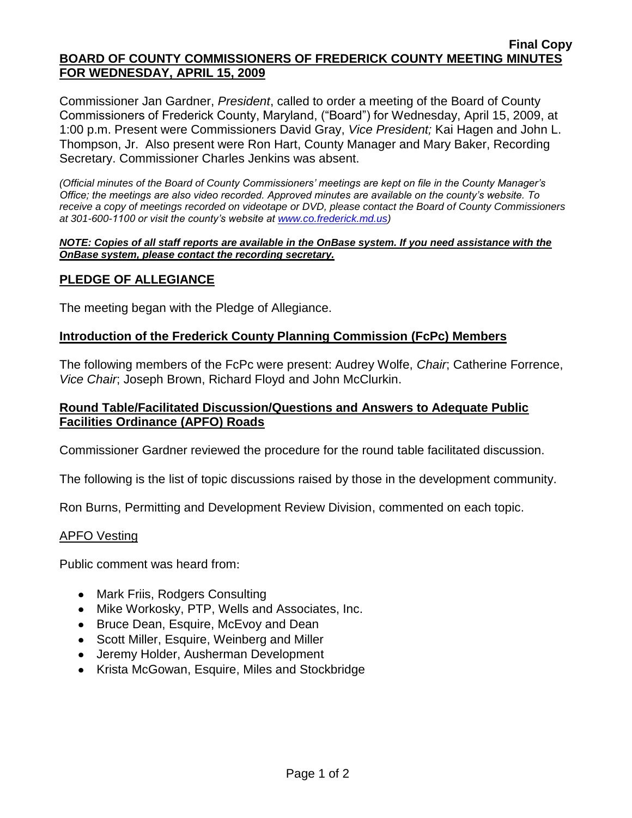#### **Final Copy BOARD OF COUNTY COMMISSIONERS OF FREDERICK COUNTY MEETING MINUTES FOR WEDNESDAY, APRIL 15, 2009**

Commissioner Jan Gardner, *President*, called to order a meeting of the Board of County Commissioners of Frederick County, Maryland, ("Board") for Wednesday, April 15, 2009, at 1:00 p.m. Present were Commissioners David Gray, *Vice President;* Kai Hagen and John L. Thompson, Jr. Also present were Ron Hart, County Manager and Mary Baker, Recording Secretary. Commissioner Charles Jenkins was absent.

*(Official minutes of the Board of County Commissioners' meetings are kept on file in the County Manager's Office; the meetings are also video recorded. Approved minutes are available on the county's website. To receive a copy of meetings recorded on videotape or DVD, please contact the Board of County Commissioners at 301-600-1100 or visit the county's website at [www.co.frederick.md.us\)](http://www.co.frederick.md.us/)*

#### *NOTE: Copies of all staff reports are available in the OnBase system. If you need assistance with the OnBase system, please contact the recording secretary.*

## **PLEDGE OF ALLEGIANCE**

The meeting began with the Pledge of Allegiance.

### **Introduction of the Frederick County Planning Commission (FcPc) Members**

The following members of the FcPc were present: Audrey Wolfe, *Chair*; Catherine Forrence, *Vice Chair*; Joseph Brown, Richard Floyd and John McClurkin.

### **Round Table/Facilitated Discussion/Questions and Answers to Adequate Public Facilities Ordinance (APFO) Roads**

Commissioner Gardner reviewed the procedure for the round table facilitated discussion.

The following is the list of topic discussions raised by those in the development community.

Ron Burns, Permitting and Development Review Division, commented on each topic.

#### APFO Vesting

Public comment was heard from:

- Mark Friis, Rodgers Consulting
- Mike Workosky, PTP, Wells and Associates, Inc.
- Bruce Dean, Esquire, McEvoy and Dean
- Scott Miller, Esquire, Weinberg and Miller
- Jeremy Holder, Ausherman Development
- Krista McGowan, Esquire, Miles and Stockbridge